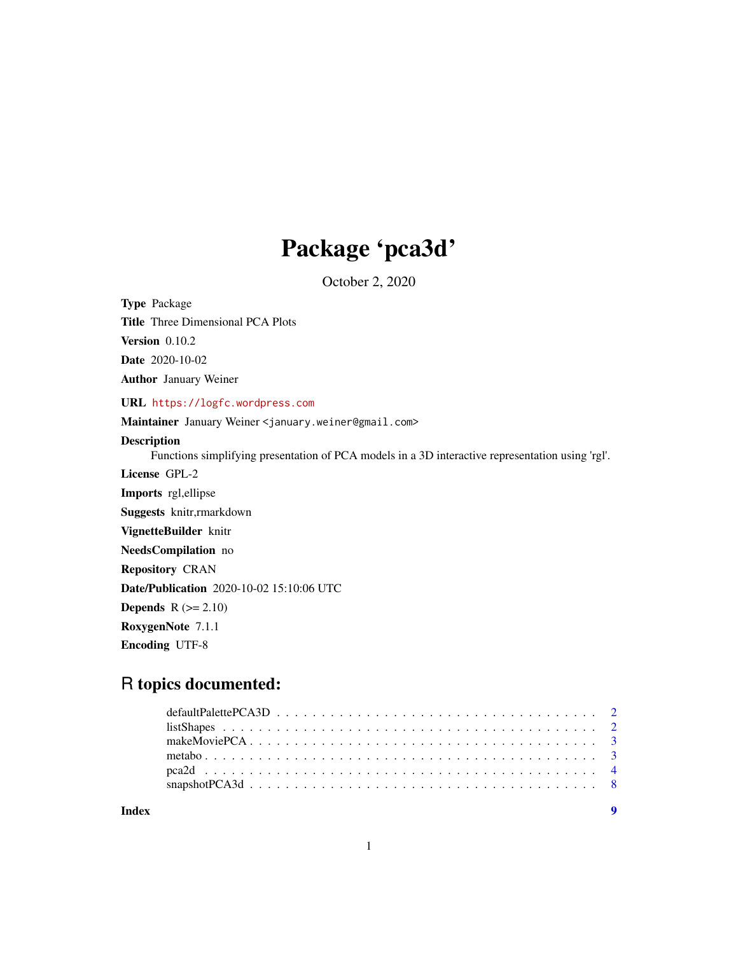## Package 'pca3d'

October 2, 2020

<span id="page-0-0"></span>Type Package

Title Three Dimensional PCA Plots

Version 0.10.2

Date 2020-10-02

Author January Weiner

URL <https://logfc.wordpress.com>

Maintainer January Weiner <january.weiner@gmail.com>

#### Description

Functions simplifying presentation of PCA models in a 3D interactive representation using 'rgl'.

License GPL-2 Imports rgl,ellipse Suggests knitr,rmarkdown VignetteBuilder knitr NeedsCompilation no Repository CRAN Date/Publication 2020-10-02 15:10:06 UTC **Depends**  $R (= 2.10)$ RoxygenNote 7.1.1 Encoding UTF-8

### R topics documented:

| Index |  |  |  |  |  |  |  |  |  |  |  |  |  |  |  |  |
|-------|--|--|--|--|--|--|--|--|--|--|--|--|--|--|--|--|
|       |  |  |  |  |  |  |  |  |  |  |  |  |  |  |  |  |
|       |  |  |  |  |  |  |  |  |  |  |  |  |  |  |  |  |
|       |  |  |  |  |  |  |  |  |  |  |  |  |  |  |  |  |
|       |  |  |  |  |  |  |  |  |  |  |  |  |  |  |  |  |
|       |  |  |  |  |  |  |  |  |  |  |  |  |  |  |  |  |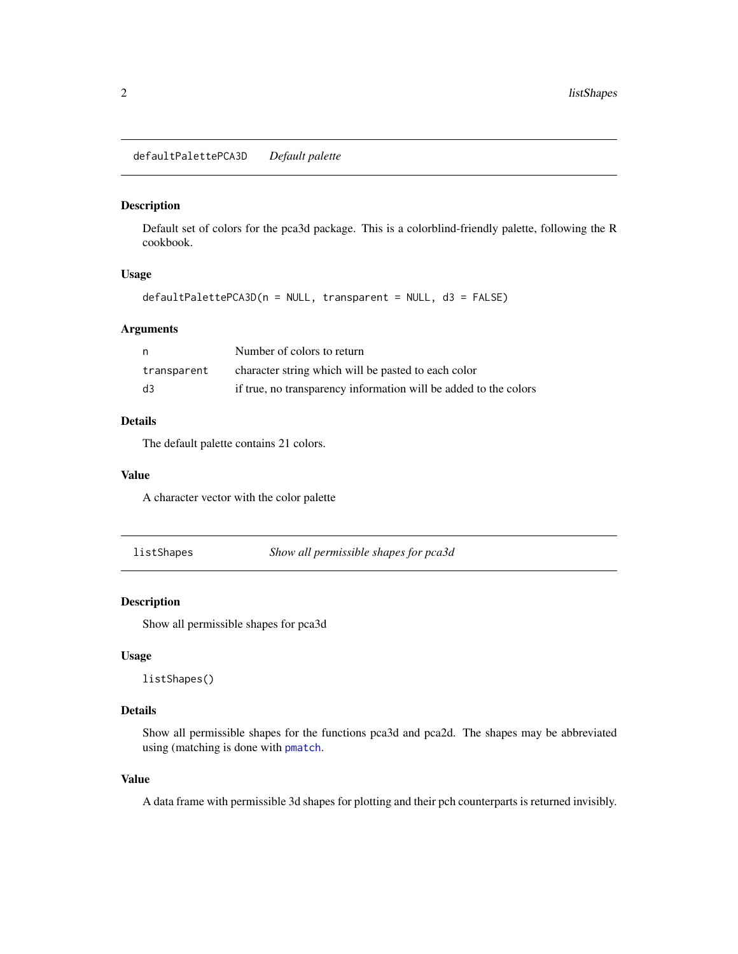<span id="page-1-0"></span>defaultPalettePCA3D *Default palette*

#### Description

Default set of colors for the pca3d package. This is a colorblind-friendly palette, following the R cookbook.

#### Usage

```
defaultPalettePCA3D(n = NULL, transparent = NULL, d3 = FALSE)
```
#### Arguments

| n.             | Number of colors to return                                       |
|----------------|------------------------------------------------------------------|
| transparent    | character string which will be pasted to each color              |
| $\overline{d}$ | if true, no transparency information will be added to the colors |

#### Details

The default palette contains 21 colors.

#### Value

A character vector with the color palette

listShapes *Show all permissible shapes for pca3d*

#### Description

Show all permissible shapes for pca3d

#### Usage

listShapes()

#### Details

Show all permissible shapes for the functions pca3d and pca2d. The shapes may be abbreviated using (matching is done with [pmatch](#page-0-0).

#### Value

A data frame with permissible 3d shapes for plotting and their pch counterparts is returned invisibly.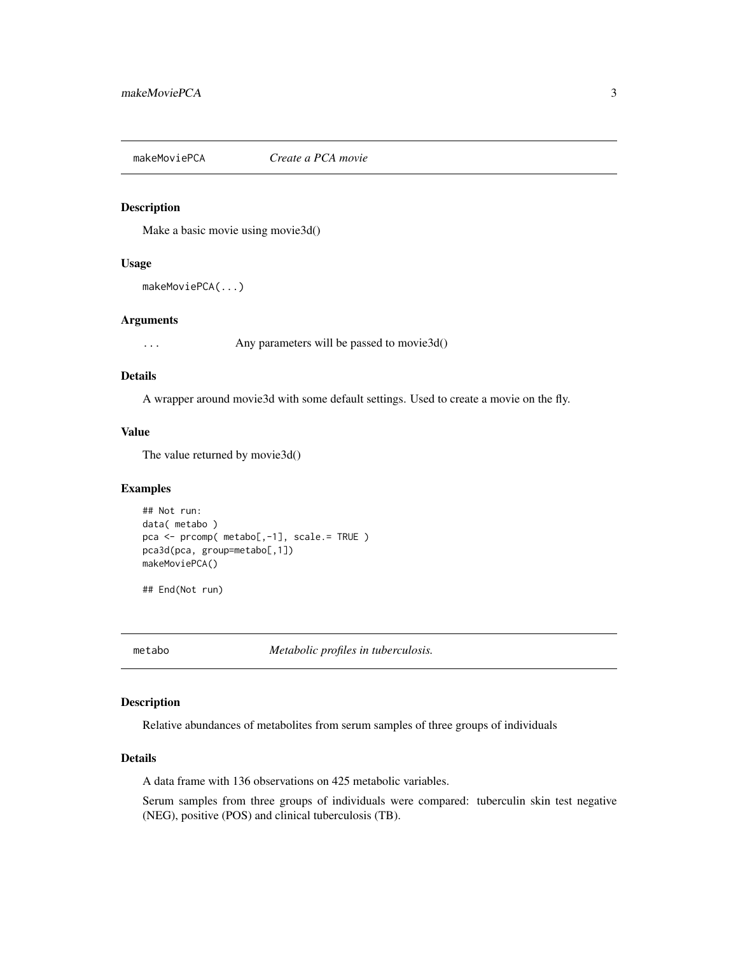<span id="page-2-0"></span>makeMoviePCA *Create a PCA movie*

#### Description

Make a basic movie using movie3d()

#### Usage

```
makeMoviePCA(...)
```
#### Arguments

... Any parameters will be passed to movie3d()

#### Details

A wrapper around movie3d with some default settings. Used to create a movie on the fly.

#### Value

The value returned by movie3d()

#### Examples

```
## Not run:
data( metabo )
pca <- prcomp( metabo[,-1], scale.= TRUE )
pca3d(pca, group=metabo[,1])
makeMoviePCA()
```
## End(Not run)

metabo *Metabolic profiles in tuberculosis.*

#### Description

Relative abundances of metabolites from serum samples of three groups of individuals

#### Details

A data frame with 136 observations on 425 metabolic variables.

Serum samples from three groups of individuals were compared: tuberculin skin test negative (NEG), positive (POS) and clinical tuberculosis (TB).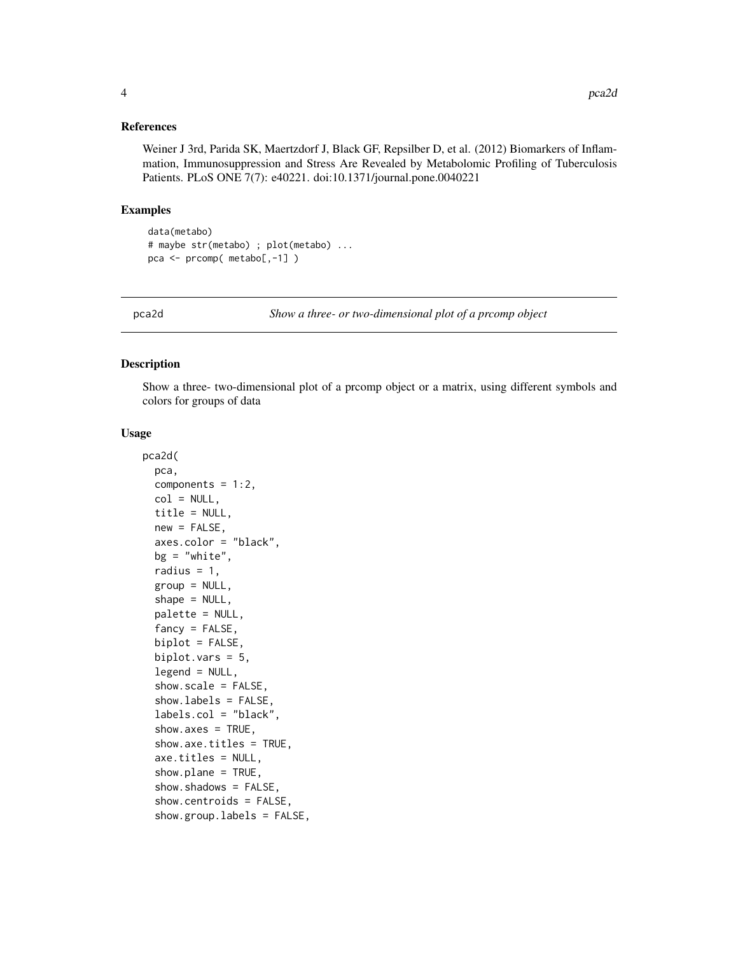<span id="page-3-0"></span>Weiner J 3rd, Parida SK, Maertzdorf J, Black GF, Repsilber D, et al. (2012) Biomarkers of Inflammation, Immunosuppression and Stress Are Revealed by Metabolomic Profiling of Tuberculosis Patients. PLoS ONE 7(7): e40221. doi:10.1371/journal.pone.0040221

#### Examples

```
data(metabo)
# maybe str(metabo) ; plot(metabo) ...
pca <- prcomp( metabo[,-1] )
```
pca2d *Show a three- or two-dimensional plot of a prcomp object*

#### Description

Show a three- two-dimensional plot of a prcomp object or a matrix, using different symbols and colors for groups of data

#### Usage

```
pca2d(
 pca,
  components = 1:2,
 col = NULL,title = NULL,
  new = FALSE,
  axes.color = "black",
 bg = "white",radius = 1,
  group = NULL,
  shape = NULL,palette = NULL,
  fancy = FALSE,
  biplot = FALSE,
  biplot.vars = 5,
  legend = NULL,show.scale = FALSE,
  show.labels = FALSE,
  labels.col = "black",
  show.axes = TRUE,
  show.axe.titles = TRUE,
  axe.titles = NULL,
  show.plane = TRUE,
  show.shadows = FALSE,
  show.centroids = FALSE,
  show.group.labels = FALSE,
```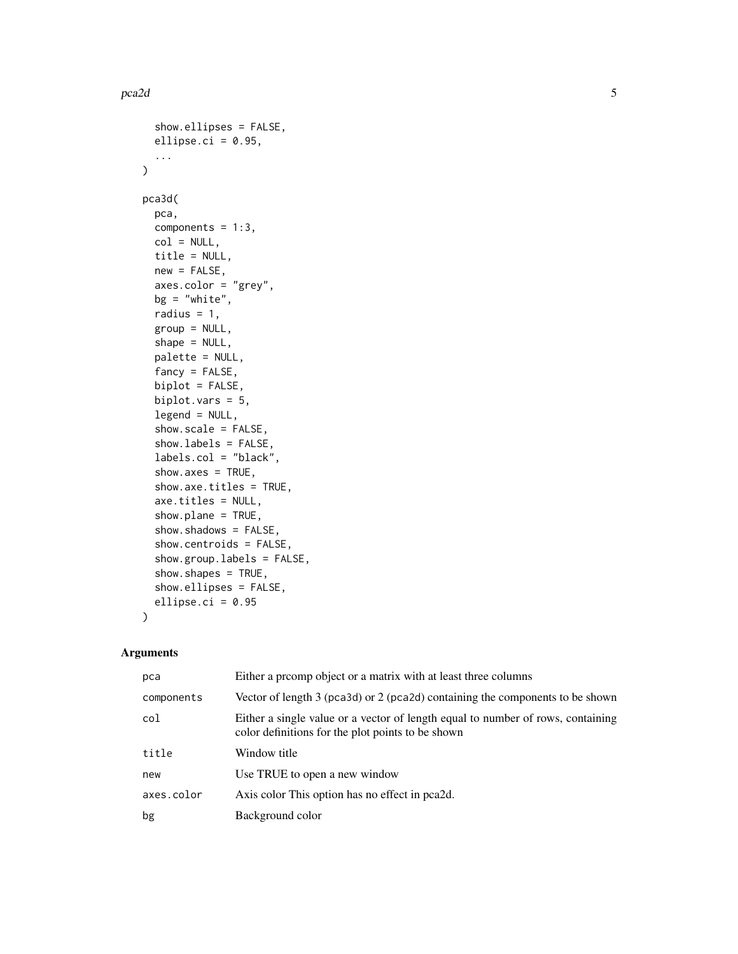```
show.ellipses = FALSE,
  ellipse.ci = 0.95,
  ...
\mathcal{L}pca3d(
 pca,
  components = 1:3,
  col = NULL,title = NULL,
  new = FALSE,
  axes.color = "grey",
 bg = "white",radius = 1,
  group = NULL,
  shape = NULL,palette = NULL,
  fancy = FALSE,
  biplot = FALSE,
  biplot.vars = 5,
  legend = NULL,
  show.scale = FALSE,
  show.labels = FALSE,
  labels.col = "black",
  show.axes = TRUE,
  show.axe.titles = TRUE,
  axe.titles = NULL,
  show.plane = TRUE,
  show.shadows = FALSE,
  show.centroids = FALSE,
  show.group.labels = FALSE,
  show.shapes = TRUE,
  show.ellipses = FALSE,
  ellipse.ci = 0.95
\mathcal{L}
```
#### Arguments

| pca        | Either a promp object or a matrix with at least three columns                                                                        |
|------------|--------------------------------------------------------------------------------------------------------------------------------------|
| components | Vector of length 3 (pca3d) or 2 (pca2d) containing the components to be shown                                                        |
| col        | Either a single value or a vector of length equal to number of rows, containing<br>color definitions for the plot points to be shown |
| title      | Window title                                                                                                                         |
| new        | Use TRUE to open a new window                                                                                                        |
| axes.color | Axis color This option has no effect in pea2d.                                                                                       |
| bg         | Background color                                                                                                                     |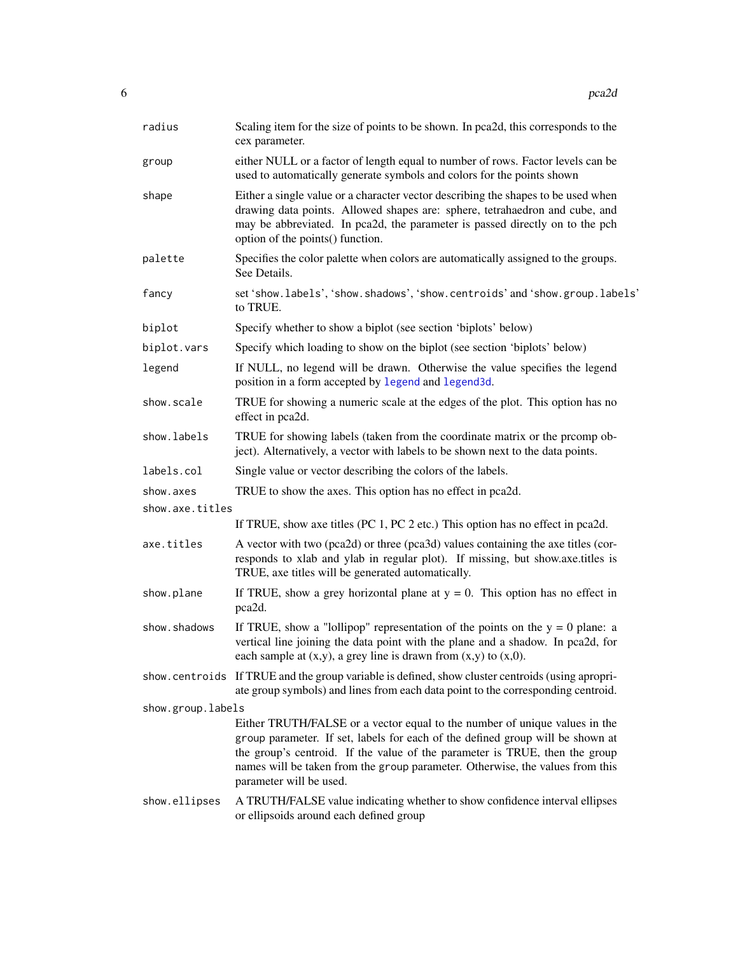<span id="page-5-0"></span>

| radius            | Scaling item for the size of points to be shown. In pca2d, this corresponds to the<br>cex parameter.                                                                                                                                                                                                                                                    |
|-------------------|---------------------------------------------------------------------------------------------------------------------------------------------------------------------------------------------------------------------------------------------------------------------------------------------------------------------------------------------------------|
| group             | either NULL or a factor of length equal to number of rows. Factor levels can be<br>used to automatically generate symbols and colors for the points shown                                                                                                                                                                                               |
| shape             | Either a single value or a character vector describing the shapes to be used when<br>drawing data points. Allowed shapes are: sphere, tetrahaedron and cube, and<br>may be abbreviated. In pca2d, the parameter is passed directly on to the pch<br>option of the points() function.                                                                    |
| palette           | Specifies the color palette when colors are automatically assigned to the groups.<br>See Details.                                                                                                                                                                                                                                                       |
| fancy             | set 'show.labels', 'show.shadows', 'show.centroids' and 'show.group.labels'<br>to TRUE.                                                                                                                                                                                                                                                                 |
| biplot            | Specify whether to show a biplot (see section 'biplots' below)                                                                                                                                                                                                                                                                                          |
| biplot.vars       | Specify which loading to show on the biplot (see section 'biplots' below)                                                                                                                                                                                                                                                                               |
| legend            | If NULL, no legend will be drawn. Otherwise the value specifies the legend<br>position in a form accepted by legend and legend3d.                                                                                                                                                                                                                       |
| show.scale        | TRUE for showing a numeric scale at the edges of the plot. This option has no<br>effect in pca2d.                                                                                                                                                                                                                                                       |
| show.labels       | TRUE for showing labels (taken from the coordinate matrix or the promp ob-<br>ject). Alternatively, a vector with labels to be shown next to the data points.                                                                                                                                                                                           |
| labels.col        | Single value or vector describing the colors of the labels.                                                                                                                                                                                                                                                                                             |
| show.axes         | TRUE to show the axes. This option has no effect in pca2d.                                                                                                                                                                                                                                                                                              |
| show.axe.titles   |                                                                                                                                                                                                                                                                                                                                                         |
|                   | If TRUE, show axe titles (PC 1, PC 2 etc.) This option has no effect in pca2d.                                                                                                                                                                                                                                                                          |
| axe.titles        | A vector with two (pca2d) or three (pca3d) values containing the axe titles (cor-<br>responds to xlab and ylab in regular plot). If missing, but show.axe.titles is<br>TRUE, axe titles will be generated automatically.                                                                                                                                |
| show.plane        | If TRUE, show a grey horizontal plane at $y = 0$ . This option has no effect in<br>pca2d.                                                                                                                                                                                                                                                               |
| show.shadows      | If TRUE, show a "lollipop" representation of the points on the $y = 0$ plane: a<br>vertical line joining the data point with the plane and a shadow. In pca2d, for<br>each sample at $(x,y)$ , a grey line is drawn from $(x,y)$ to $(x,0)$ .                                                                                                           |
|                   | show centroids If TRUE and the group variable is defined, show cluster centroids (using apropri-<br>ate group symbols) and lines from each data point to the corresponding centroid.                                                                                                                                                                    |
| show.group.labels |                                                                                                                                                                                                                                                                                                                                                         |
|                   | Either TRUTH/FALSE or a vector equal to the number of unique values in the<br>group parameter. If set, labels for each of the defined group will be shown at<br>the group's centroid. If the value of the parameter is TRUE, then the group<br>names will be taken from the group parameter. Otherwise, the values from this<br>parameter will be used. |
| show.ellipses     | A TRUTH/FALSE value indicating whether to show confidence interval ellipses<br>or ellipsoids around each defined group                                                                                                                                                                                                                                  |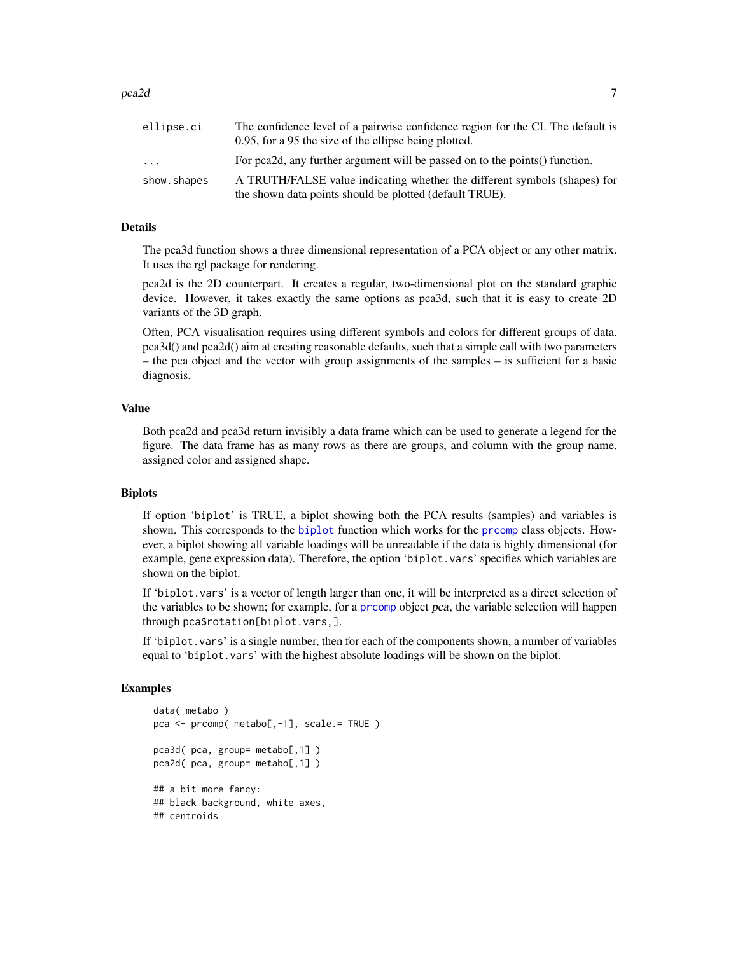#### <span id="page-6-0"></span> $pca2d$   $\hspace{1.5cm}$  7

| ellipse.ci  | The confidence level of a pairwise confidence region for the CI. The default is<br>0.95, for a 95 the size of the ellipse being plotted. |
|-------------|------------------------------------------------------------------------------------------------------------------------------------------|
| .           | For pea2d, any further argument will be passed on to the points () function.                                                             |
| show.shapes | A TRUTH/FALSE value indicating whether the different symbols (shapes) for                                                                |
|             | the shown data points should be plotted (default TRUE).                                                                                  |

#### Details

The pca3d function shows a three dimensional representation of a PCA object or any other matrix. It uses the rgl package for rendering.

pca2d is the 2D counterpart. It creates a regular, two-dimensional plot on the standard graphic device. However, it takes exactly the same options as pca3d, such that it is easy to create 2D variants of the 3D graph.

Often, PCA visualisation requires using different symbols and colors for different groups of data. pca3d() and pca2d() aim at creating reasonable defaults, such that a simple call with two parameters – the pca object and the vector with group assignments of the samples – is sufficient for a basic diagnosis.

#### Value

Both pca2d and pca3d return invisibly a data frame which can be used to generate a legend for the figure. The data frame has as many rows as there are groups, and column with the group name, assigned color and assigned shape.

#### Biplots

If option 'biplot' is TRUE, a biplot showing both the PCA results (samples) and variables is shown. This corresponds to the [biplot](#page-0-0) function which works for the [prcomp](#page-0-0) class objects. However, a biplot showing all variable loadings will be unreadable if the data is highly dimensional (for example, gene expression data). Therefore, the option 'biplot.vars' specifies which variables are shown on the biplot.

If 'biplot.vars' is a vector of length larger than one, it will be interpreted as a direct selection of the variables to be shown; for example, for a [prcomp](#page-0-0) object pca, the variable selection will happen through pca\$rotation[biplot.vars,].

If 'biplot.vars' is a single number, then for each of the components shown, a number of variables equal to 'biplot.vars' with the highest absolute loadings will be shown on the biplot.

#### Examples

```
data( metabo )
pca <- prcomp( metabo[,-1], scale.= TRUE )
pca3d( pca, group= metabo[,1] )
pca2d( pca, group= metabo[,1] )
## a bit more fancy:
## black background, white axes,
## centroids
```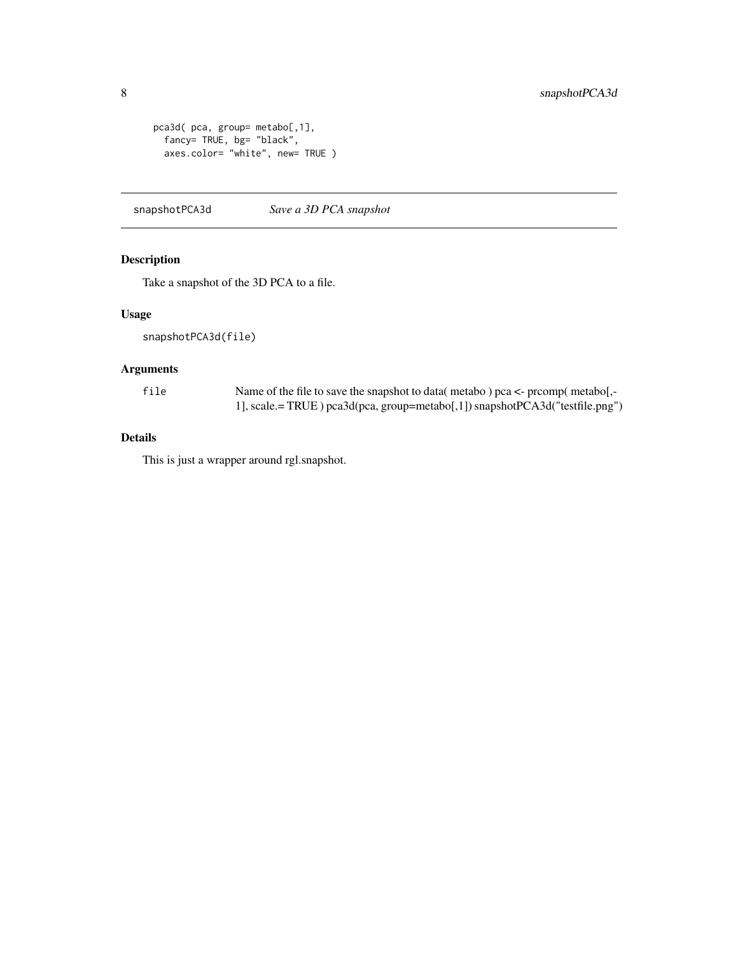```
pca3d( pca, group= metabo[,1],
 fancy= TRUE, bg= "black",
 axes.color= "white", new= TRUE )
```
snapshotPCA3d *Save a 3D PCA snapshot*

#### Description

Take a snapshot of the 3D PCA to a file.

#### Usage

snapshotPCA3d(file)

#### Arguments

file Name of the file to save the snapshot to data( metabo ) pca <- prcomp( metabo[,- 1], scale.= TRUE ) pca3d(pca, group=metabo[,1]) snapshotPCA3d("testfile.png")

#### Details

This is just a wrapper around rgl.snapshot.